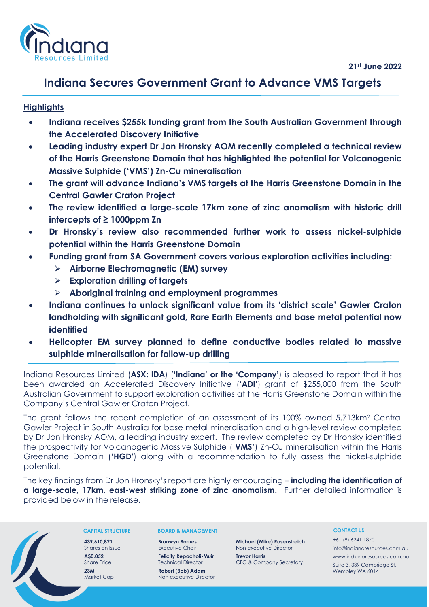

# **Indiana Secures Government Grant to Advance VMS Targets**

# **Highlights**

- **Indiana receives \$255k funding grant from the South Australian Government through the Accelerated Discovery Initiative**
- **Leading industry expert Dr Jon Hronsky AOM recently completed a technical review of the Harris Greenstone Domain that has highlighted the potential for Volcanogenic Massive Sulphide ('VMS') Zn-Cu mineralisation**
- **The grant will advance Indiana's VMS targets at the Harris Greenstone Domain in the Central Gawler Craton Project**
- **The review identified a large-scale 17km zone of zinc anomalism with historic drill intercepts of ≥ 1000ppm Zn**
- **Dr Hronsky's review also recommended further work to assess nickel-sulphide potential within the Harris Greenstone Domain**
- **Funding grant from SA Government covers various exploration activities including:**
	- ➢ **Airborne Electromagnetic (EM) survey**
	- ➢ **Exploration drilling of targets**
	- ➢ **Aboriginal training and employment programmes**
- **Indiana continues to unlock significant value from its 'district scale' Gawler Craton landholding with significant gold, Rare Earth Elements and base metal potential now identified**
- **Helicopter EM survey planned to define conductive bodies related to massive sulphide mineralisation for follow-up drilling**

Indiana Resources Limited (**ASX: IDA**) (**'Indiana' or the 'Company'**) is pleased to report that it has been awarded an Accelerated Discovery Initiative (**'ADI'**) grant of \$255,000 from the South Australian Government to support exploration activities at the Harris Greenstone Domain within the Company's Central Gawler Craton Project.

The grant follows the recent completion of an assessment of its 100% owned 5,713km<sup>2</sup> Central Gawler Project in South Australia for base metal mineralisation and a high-level review completed by Dr Jon Hronsky AOM, a leading industry expert. The review completed by Dr Hronsky identified the prospectivity for Volcanogenic Massive Sulphide ('**VMS**') Zn-Cu mineralisation within the Harris Greenstone Domain ('**HGD'**) along with a recommendation to fully assess the nickel-sulphide potential.

The key findings from Dr Jon Hronsky's report are highly encouraging – **including the identification of a large-scale, 17km, east-west striking zone of zinc anomalism.** Further detailed information is provided below in the release.



### **CAPITAL STRUCTURE**

**439,610,821** Shares on Issue **A\$0.052** Share Price **23M** Market Cap

#### **BOARD & MANAGEMENT**

**Bronwyn Barnes** Executive Chair **Felicity Repacholi-Muir**

Technical Director **Robert (Bob) Adam** Non-executive Director

Non-executive Director **Trevor Harris**

CFO & Company Secretary

**Michael (Mike) Rosenstreich**

### **CONTACT US**

+61 (8) 6241 1870 info@indianaresources.com.au www.indianaresources.com.au Suite 3, 339 Cambridge St, Wembley WA 6014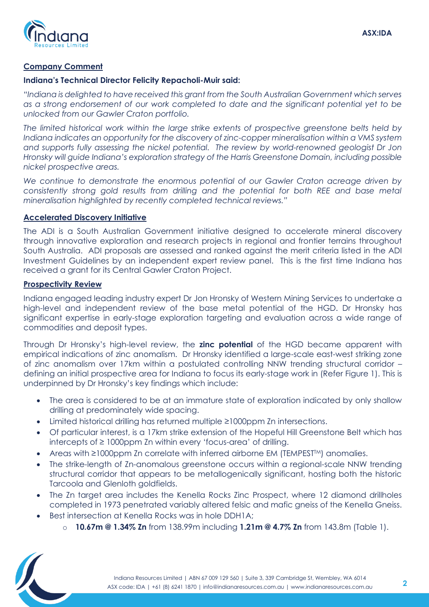

# **Company Comment**

### **Indiana's Technical Director Felicity Repacholi-Muir said:**

*"Indiana is delighted to have received this grant from the South Australian Government which serves as a strong endorsement of our work completed to date and the significant potential yet to be unlocked from our Gawler Craton portfolio.* 

*The limited historical work within the large strike extents of prospective greenstone belts held by Indiana indicates an opportunity for the discovery of zinc-copper mineralisation within a VMS system and supports fully assessing the nickel potential. The review by world-renowned geologist Dr Jon Hronsky will guide Indiana's exploration strategy of the Harris Greenstone Domain, including possible nickel prospective areas.*

*We continue to demonstrate the enormous potential of our Gawler Craton acreage driven by consistently strong gold results from drilling and the potential for both REE and base metal mineralisation highlighted by recently completed technical reviews."*

# **Accelerated Discovery Initiative**

The ADI is a South Australian Government initiative designed to accelerate mineral discovery through innovative exploration and research projects in regional and frontier terrains throughout South Australia. ADI proposals are assessed and ranked against the merit criteria listed in the ADI Investment Guidelines by an independent expert review panel. This is the first time Indiana has received a grant for its Central Gawler Craton Project.

# **Prospectivity Review**

Indiana engaged leading industry expert Dr Jon Hronsky of Western Mining Services to undertake a high-level and independent review of the base metal potential of the HGD. Dr Hronsky has significant expertise in early-stage exploration targeting and evaluation across a wide range of commodities and deposit types.

Through Dr Hronsky's high-level review, the **zinc potential** of the HGD became apparent with empirical indications of zinc anomalism. Dr Hronsky identified a large-scale east-west striking zone of zinc anomalism over 17km within a postulated controlling NNW trending structural corridor – defining an initial prospective area for Indiana to focus its early-stage work in (Refer Figure 1). This is underpinned by Dr Hronsky's key findings which include:

- The area is considered to be at an immature state of exploration indicated by only shallow drilling at predominately wide spacing.
- Limited historical drilling has returned multiple ≥1000ppm Zn intersections.
- Of particular interest, is a 17km strike extension of the Hopeful Hill Greenstone Belt which has intercepts of ≥ 1000ppm Zn within every 'focus-area' of drilling.
- Areas with ≥1000ppm Zn correlate with inferred airborne EM (TEMPEST<sup>™)</sup> anomalies.
- The strike-length of Zn-anomalous greenstone occurs within a regional-scale NNW trending structural corridor that appears to be metallogenically significant, hosting both the historic Tarcoola and Glenloth goldfields.
- The Zn target area includes the Kenella Rocks Zinc Prospect, where 12 diamond drillholes completed in 1973 penetrated variably altered felsic and mafic gneiss of the Kenella Gneiss.
- Best intersection at Kenella Rocks was in hole DDH1A;
	- o **10.67m @ 1.34% Zn** from 138.99m including **1.21m @ 4.7% Zn** from 143.8m (Table 1).

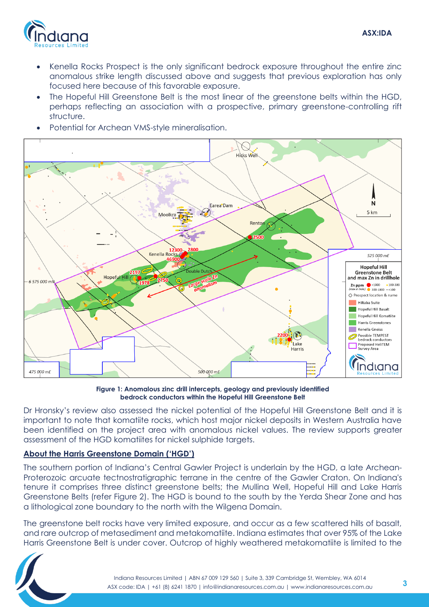

- Kenella Rocks Prospect is the only significant bedrock exposure throughout the entire zinc anomalous strike length discussed above and suggests that previous exploration has only focused here because of this favorable exposure.
- The Hopeful Hill Greenstone Belt is the most linear of the greenstone belts within the HGD, perhaps reflecting an association with a prospective, primary greenstone-controlling rift structure.
- Potential for Archean VMS-style mineralisation.



**Figure 1: Anomalous zinc drill intercepts, geology and previously identified bedrock conductors within the Hopeful Hill Greenstone Belt**

Dr Hronsky's review also assessed the nickel potential of the Hopeful Hill Greenstone Belt and it is important to note that komatiite rocks, which host major nickel deposits in Western Australia have been identified on the project area with anomalous nickel values. The review supports greater assessment of the HGD komatiites for nickel sulphide targets.

# **About the Harris Greenstone Domain ('HGD')**

The southern portion of Indiana's Central Gawler Project is underlain by the HGD, a late Archean-Proterozoic arcuate tectnostratigraphic terrane in the centre of the Gawler Craton. On Indiana's tenure it comprises three distinct greenstone belts; the Mullina Well, Hopeful Hill and Lake Harris Greenstone Belts (refer Figure 2). The HGD is bound to the south by the Yerda Shear Zone and has a lithological zone boundary to the north with the Wilgena Domain.

The greenstone belt rocks have very limited exposure, and occur as a few scattered hills of basalt, and rare outcrop of metasediment and metakomatiite. Indiana estimates that over 95% of the Lake Harris Greenstone Belt is under cover. Outcrop of highly weathered metakomatiite is limited to the

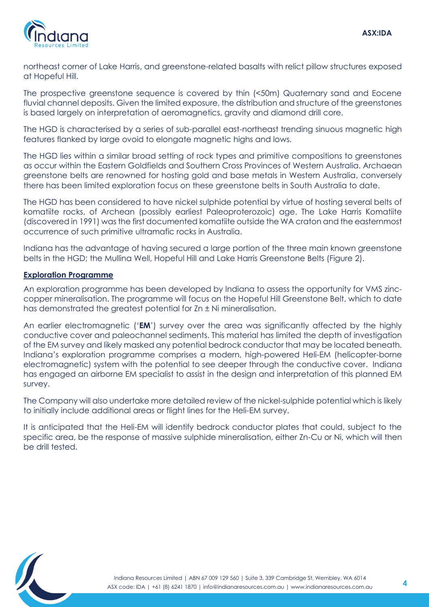

northeast corner of Lake Harris, and greenstone-related basalts with relict pillow structures exposed at Hopeful Hill.

The prospective greenstone sequence is covered by thin (<50m) Quaternary sand and Eocene fluvial channel deposits. Given the limited exposure, the distribution and structure of the greenstones is based largely on interpretation of aeromagnetics, gravity and diamond drill core.

The HGD is characterised by a series of sub-parallel east-northeast trending sinuous magnetic high features flanked by large ovoid to elongate magnetic highs and lows.

The HGD lies within a similar broad setting of rock types and primitive compositions to greenstones as occur within the Eastern Goldfields and Southern Cross Provinces of Western Australia. Archaean greenstone belts are renowned for hosting gold and base metals in Western Australia, conversely there has been limited exploration focus on these greenstone belts in South Australia to date.

The HGD has been considered to have nickel sulphide potential by virtue of hosting several belts of komatiite rocks, of Archean (possibly earliest Paleoproterozoic) age. The Lake Harris Komatiite (discovered in 1991) was the first documented komatiite outside the WA craton and the easternmost occurrence of such primitive ultramafic rocks in Australia.

Indiana has the advantage of having secured a large portion of the three main known greenstone belts in the HGD; the Mullina Well, Hopeful Hill and Lake Harris Greenstone Belts (Figure 2).

# **Exploration Programme**

An exploration programme has been developed by Indiana to assess the opportunity for VMS zinccopper mineralisation. The programme will focus on the Hopeful Hill Greenstone Belt, which to date has demonstrated the greatest potential for Zn  $\pm$  Ni mineralisation.

An earlier electromagnetic ('**EM**') survey over the area was significantly affected by the highly conductive cover and paleochannel sediments. This material has limited the depth of investigation of the EM survey and likely masked any potential bedrock conductor that may be located beneath. Indiana's exploration programme comprises a modern, high-powered Heli-EM (helicopter-borne electromagnetic) system with the potential to see deeper through the conductive cover. Indiana has engaged an airborne EM specialist to assist in the design and interpretation of this planned EM survey.

The Company will also undertake more detailed review of the nickel-sulphide potential which is likely to initially include additional areas or flight lines for the Heli-EM survey.

It is anticipated that the Heli-EM will identify bedrock conductor plates that could, subject to the specific area, be the response of massive sulphide mineralisation, either Zn-Cu or Ni, which will then be drill tested.

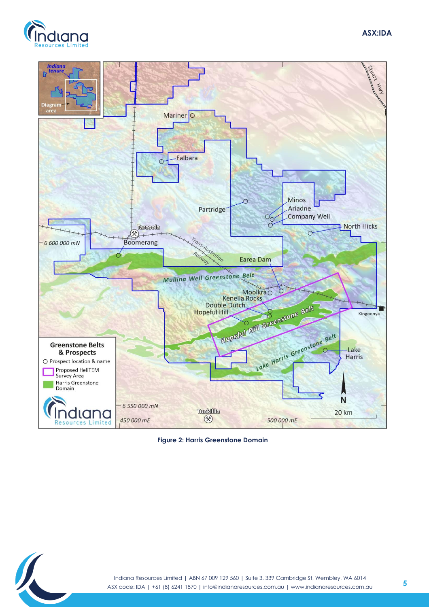





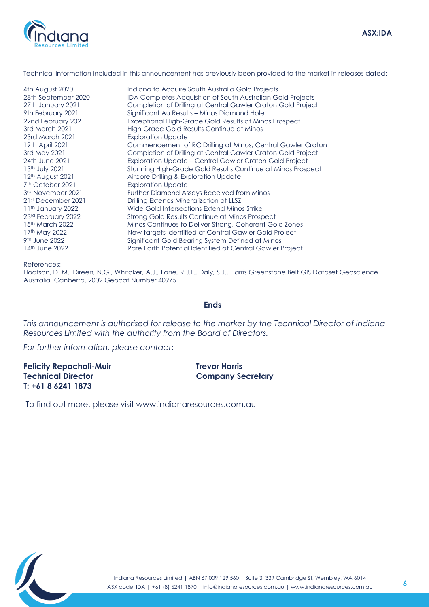

#### Technical information included in this announcement has previously been provided to the market in releases dated:

23rd March 2021 Exploration Update 7th October 2021 3rd November 2021 9<sup>th</sup> June 2022

4th August 2020 Indiana to Acquire South Australia Gold Projects 28th September 2020 IDA Completes Acquisition of South Australian Gold Projects 27th January 2021 Completion of Drilling at Central Gawler Craton Gold Project 9th February 2021 Significant Au Results – Minos Diamond Hole 22nd February 2021 Exceptional High-Grade Gold Results at Minos Prospect 3rd March 2021 High Grade Gold Results Continue at Minos 19th April 2021 Commencement of RC Drilling at Minos, Central Gawler Craton 3rd May 2021 Completion of Drilling at Central Gawler Craton Gold Project 24th June 2021 Exploration Update – Central Gawler Craton Gold Project<br>13th July 2021 Stunning High-Grade Gold Results Continue at Minos Prosp 13<sup>th</sup> July 2021 Stunning High-Grade Gold Results Continue at Minos Prospect<br>12<sup>th</sup> August 2021 Aircore Drilling & Exploration Update Aircore Drilling & Exploration Update **Exploration Update** Further Diamond Assays Received from Minos 21st December 2021 Drilling Extends Mineralization at LLSZ 11<sup>th</sup> January 2022 **Wide Gold Intersections Extend Minos Strike** 23rd February 2022 Strong Gold Results Continue at Minos Prospect 15th March 2022 Minos Continues to Deliver Strong, Coherent Gold Zones 17th May 2022 **New targets identified at Central Gawler Gold Project** Significant Gold Bearing System Defined at Minos 14th June 2022 Rare Earth Potential Identified at Central Gawler Project

References:

Hoatson, D. M., Direen, N.G., Whitaker, A.J., Lane, R.J.L., Daly, S.J., Harris Greenstone Belt GIS Dataset Geoscience Australia, Canberra, 2002 Geocat Number 40975

### **Ends**

*This announcement is authorised for release to the market by the Technical Director of Indiana Resources Limited with the authority from the Board of Directors.* 

*For further information, please contact***:** 

**Felicity Repacholi-Muir Technical Director T: +61 8 6241 1873**

**Trevor Harris Company Secretary**

To find out more, please visit [www.indianaresources.com.au](http://www.indianaresources.com.au/)

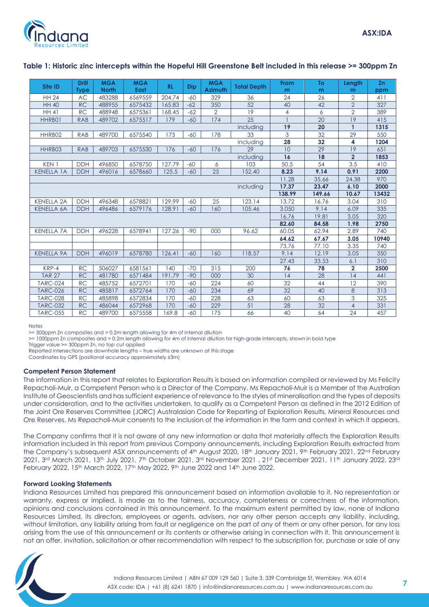

| Site ID           | <b>Drill</b> | <b>MGA</b>   | <b>MGA</b>  | <b>RL</b> | <b>Dip</b> | <b>MGA</b>     | <b>Total Depth</b> | From   | To     | Length         | <b>Zn</b> |
|-------------------|--------------|--------------|-------------|-----------|------------|----------------|--------------------|--------|--------|----------------|-----------|
|                   | <b>Type</b>  | <b>North</b> | <b>East</b> |           |            | <b>Azimuth</b> |                    | m      | m      | m              | ppm       |
| <b>HH 24</b>      | <b>AC</b>    | 483288       | 6569559     | 204.74    | $-60$      | 329            | 36                 | 24     | 26     | 2              | 411       |
| <b>HH 40</b>      | <b>RC</b>    | 488955       | 6575432     | 165.83    | $-62$      | 350            | 52                 | 40     | 42     | $\overline{2}$ | 327       |
| <b>HH 41</b>      | <b>RC</b>    | 488948       | 6575361     | 168.45    | $-62$      | $\overline{2}$ | 19                 | 4      | 6      | $\overline{2}$ | 389       |
| HHRB01            | <b>RAB</b>   | 489702       | 6575517     | 179       | $-60$      | 174            | 25                 |        | 20     | 19             | 415       |
|                   |              |              |             |           |            |                | including          | 19     | 20     | $\mathbf{1}$   | 1315      |
| HHRB02            | <b>RAB</b>   | 489700       | 6575540     | 173       | $-60$      | 178            | 33                 | 3      | 32     | 29             | 550       |
|                   |              |              |             |           |            |                | including          | 28     | 32     | 4              | 1204      |
| HHRB03            | <b>RAB</b>   | 489703       | 6575530     | 176       | $-60$      | 176            | 29                 | 10     | 29     | 19             | 651       |
|                   |              |              |             |           |            |                | including          | 16     | 18     | $\overline{2}$ | 1853      |
| KEN <sub>1</sub>  | <b>DDH</b>   | 496850       | 6578750     | 127.79    | $-60$      | 6              | 103                | 50.5   | 54     | 3.5            | 410       |
| <b>KENELLA 1A</b> | <b>DDH</b>   | 496016       | 6578660     | 125.5     | $-60$      | 25             | 152.40             | 8.23   | 9.14   | 0.91           | 2200      |
|                   |              |              |             |           |            |                |                    | 11.28  | 35.66  | 24.38          | 970       |
|                   |              |              |             |           |            |                | including          | 17.37  | 23.47  | 6.10           | 2000      |
|                   |              |              |             |           |            |                |                    | 138.99 | 149.66 | 10.67          | 13432     |
| <b>KENELLA 2A</b> | <b>DDH</b>   | 496348       | 6578821     | 129.99    | $-60$      | 25             | 123.14             | 13.72  | 16.76  | 3.04           | 310       |
| <b>KENELLA 6A</b> | <b>DDH</b>   | 496486       | 6579176     | 128.91    | $-60$      | 160            | 105.46             | 3.050  | 9.14   | 6.09           | 335       |
|                   |              |              |             |           |            |                |                    | 16.76  | 19.81  | 3.05           | 320       |
|                   |              |              |             |           |            |                |                    | 82.60  | 84.58  | 1.98           | 2750      |
| <b>KENELLA 7A</b> | <b>DDH</b>   | 496228       | 6578941     | 127.26    | $-90$      | 000            | 96.62              | 60.05  | 62.94  | 2.89           | 740       |
|                   |              |              |             |           |            |                |                    | 64.62  | 67.67  | 3.05           | 10940     |
|                   |              |              |             |           |            |                |                    | 73.76  | 77.10  | 3.35           | 740       |
| <b>KENELLA 9A</b> | <b>DDH</b>   | 496019       | 6578780     | 126.41    | $-60$      | 160            | 118.57             | 9.14   | 12.19  | 3.05           | 350       |
|                   |              |              |             |           |            |                |                    | 27.43  | 33.53  | 6.1            | 310       |
| KRP-4             | <b>RC</b>    | 506027       | 6581561     | 140       | $-70$      | 315            | 200                | 76     | 78     | $\overline{2}$ | 2500      |
| <b>TAR 27</b>     | <b>RC</b>    | 481780       | 6571484     | 191.79    | $-90$      | 000            | 30                 | 14     | 28     | 14             | 441       |
| <b>TARC-024</b>   | <b>RC</b>    | 485752       | 6572701     | 170       | $-60$      | 224            | 60                 | 32     | 44     | 12             | 390       |
| <b>TARC-026</b>   | <b>RC</b>    | 485817       | 6572764     | 170       | $-60$      | 234            | 69                 | 32     | 40     | 8              | 313       |
| <b>TARC-028</b>   | <b>RC</b>    | 485898       | 6572834     | 170       | $-60$      | 228            | 63                 | 60     | 63     | 3              | 325       |
| <b>TARC-032</b>   | <b>RC</b>    | 486044       | 6572968     | 170       | $-60$      | 229            | 51                 | 28     | 32     | $\overline{4}$ | 331       |
| <b>TARC-055</b>   | <b>RC</b>    | 489700       | 6575558     | 169.8     | $-60$      | 175            | 66                 | 40     | 64     | 24             | 457       |

### **Table 1: Historic zinc intercepts within the Hopeful Hill Greenstone Belt included in this release >= 300ppm Zn**

**Notes** 

>= 300ppm Zn composites and > 0.2m length allowing for 4m of internal dilution

>= 1000ppm Zn composites and > 0.2m length allowing for 4m of internal dilution for high-grade intercepts, shown in bold type

Trigger value  $>=$  300ppm Zn, no top cut applied

Reported intersections are downhole lengths – true widths are unknown at this stage

Coordinates by GPS (positional accuracy approximately ±3m)

#### **Competent Person Statement**

The information in this report that relates to Exploration Results is based on information compiled or reviewed by Ms Felicity Repacholi-Muir, a Competent Person who is a Director of the Company. Ms Repacholi-Muir is a Member of the Australian Institute of Geoscientists and has sufficient experience of relevance to the styles of mineralisation and the types of deposits under consideration, and to the activities undertaken, to qualify as a Competent Person as defined in the 2012 Edition of the Joint Ore Reserves Committee (JORC) Australasian Code for Reporting of Exploration Results, Mineral Resources and Ore Reserves. Ms Repacholi-Muir consents to the inclusion of the information in the form and context in which it appears.

The Company confirms that it is not aware of any new information or data that materially affects the Exploration Results information included in this report from previous Company announcements, including Exploration Results extracted from the Company's subsequent ASX announcements of 4th August 2020, 18th January 2021, 9th February 2021, 22nd February 2021, 3<sup>rd</sup> March 2021, 13th July 2021, 7th October 2021, 3rd November 2021 , 21st December 2021, 11th January 2022, 23rd February 2022, 15<sup>th</sup> March 2022, 17<sup>th</sup> May 2022, 9<sup>th</sup> June 2022 and 14<sup>th</sup> June 2022.

#### **Forward Looking Statements**

Indiana Resources Limited has prepared this announcement based on information available to it. No representation or warranty, express or implied, is made as to the fairness, accuracy, completeness or correctness of the information, opinions and conclusions contained in this announcement. To the maximum extent permitted by law, none of Indiana Resources Limited, its directors, employees or agents, advisers, nor any other person accepts any liability, including, without limitation, any liability arising from fault or negligence on the part of any of them or any other person, for any loss arising from the use of this announcement or its contents or otherwise arising in connection with it. This announcement is not an offer, invitation, solicitation or other recommendation with respect to the subscription for, purchase or sale of any

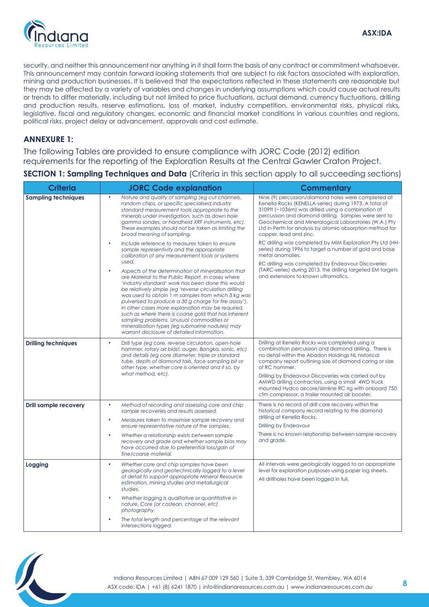

security, and neither this announcement nor anything in it shall form the basis of any contract or commitment whatsoever. This announcement may contain forward looking statements that are subject to risk factors associated with exploration, mining and production businesses. It is believed that the expectations reflected in these statements are reasonable but they may be affected by a variety of variables and changes in underlying assumptions which could cause actual results or trends to differ materially, including but not limited to price fluctuations, actual demand, currency fluctuations, drilling and production results, reserve estimations, loss of market, industry competition, environmental risks, physical risks, legislative, fiscal and regulatory changes, economic and financial market conditions in various countries and regions, political risks, project delay or advancement, approvals and cost estimate.

# **ANNEXURE 1:**

The following Tables are provided to ensure compliance with JORC Code (2012) edition requirements for the reporting of the Exploration Results at the Central Gawler Craton Project.

**SECTION 1: Sampling Techniques and Data** (Criteria in this section apply to all succeeding sections)

| <b>Criteria</b>              | <b>JORC Code explanation</b>                                                                                                                                                                                                                                                                                                                                                                                                                                                                                                                                                                                                                                                                                                                                                          | <b>Commentary</b>                                                                                                                                                                                                                                                                                                                                                                                                                                                    |  |  |  |
|------------------------------|---------------------------------------------------------------------------------------------------------------------------------------------------------------------------------------------------------------------------------------------------------------------------------------------------------------------------------------------------------------------------------------------------------------------------------------------------------------------------------------------------------------------------------------------------------------------------------------------------------------------------------------------------------------------------------------------------------------------------------------------------------------------------------------|----------------------------------------------------------------------------------------------------------------------------------------------------------------------------------------------------------------------------------------------------------------------------------------------------------------------------------------------------------------------------------------------------------------------------------------------------------------------|--|--|--|
| <b>Sampling techniques</b>   | Nature and quality of sampling (eg cut channels,<br>$\bullet$<br>random chips, or specific specialised industry<br>standard measurement tools appropriate to the<br>minerals under investigation, such as down hole<br>gamma sondes, or handheld XRF instruments, etc).<br>These examples should not be taken as limiting the<br>broad meaning of sampling.                                                                                                                                                                                                                                                                                                                                                                                                                           | Nine (9) percussion/diamond holes were completed at<br>Kenella Rocks (KENELLA-series) during 1973. A total of<br>3109ft (~1036m) was drilled using a combination of<br>percussion and diamond drilling. Samples were sent to<br>Geochemical and Mineralogical Laboratories (W.A.) Pty<br>Ltd in Perth for analysis by atomic absorption method for<br>copper, lead and zinc.                                                                                         |  |  |  |
|                              | Include reference to measures taken to ensure<br>$\bullet$<br>sample representivity and the appropriate<br>calibration of any measurement tools or systems<br>used.<br>Aspects of the determination of mineralisation that<br>$\bullet$<br>are Material to the Public Report. In cases where<br>'industry standard' work has been done this would<br>be relatively simple (eg 'reverse circulation drilling<br>was used to obtain 1 m samples from which 3 kg was<br>pulverised to produce a 30 g charge for fire assay').<br>In other cases more explanation may be required,<br>such as where there is coarse gold that has inherent<br>sampling problems. Unusual commodities or<br>mineralisation types (eg submarine nodules) may<br>warrant disclosure of detailed information. | RC drilling was completed by MIM Exploration Pty Ltd (HH-<br>series) during 1996 to target a number of gold and base<br>metal anomalies.<br>RC drilling was completed by Endeavour Discoveries<br>(TARC-series) during 2013, the drilling targeted EM targets<br>and extensions to known ultramafics.                                                                                                                                                                |  |  |  |
| <b>Drilling techniques</b>   | $\bullet$<br>Drill type (eg core, reverse circulation, open-hole<br>hammer, rotary air blast, auger, Bangka, sonic, etc)<br>and details (eg core diameter, triple or standard<br>tube, depth of diamond tails, face-sampling bit or<br>other type, whether core is oriented and if so, by<br>what method, etc).                                                                                                                                                                                                                                                                                                                                                                                                                                                                       | Drilling at Kenella Rocks was completed using a<br>combination percussion and diamond drilling. There is<br>no detail within the Abadon Holdings NL historical<br>company report outlining size of diamond coring or size<br>of RC hammer.<br>Drilling by Endeavour Discoveries was carried out by<br>AMWD drilling contractors, using a small 4WD truck<br>mounted Hydco aircore/slimline RC rig with onboard 750<br>cfm compressor, a trailer mounted air booster. |  |  |  |
| <b>Drill sample recovery</b> | $\bullet$<br>Method of recording and assessing core and chip<br>sample recoveries and results assessed.<br>Measures taken to maximise sample recovery and<br>$\bullet$<br>ensure representative nature of the samples.<br>Whether a relationship exists between sample<br>recovery and grade and whether sample bias may<br>have occurred due to preferential loss/gain of<br>fine/coarse material.                                                                                                                                                                                                                                                                                                                                                                                   | There is no record of drill core recovery within the<br>historical company record relating to the diamond<br>drilling at Kenella Rocks.<br><b>Drilling by Endeavour</b><br>There is no known relationship between sample recovery<br>and grade.                                                                                                                                                                                                                      |  |  |  |
| Logging                      | $\bullet$<br>Whether core and chip samples have been<br>geologically and geotechnically logged to a level<br>of detail to support appropriate Mineral Resource<br>estimation, mining studies and metallurgical<br>studies.<br>Whether logging is qualitative or quantitative in<br>$\bullet$<br>nature. Core (or costean, channel, etc)<br>photography.<br>The total length and percentage of the relevant<br>intersections logged.                                                                                                                                                                                                                                                                                                                                                   | All intervals were geologically logged to an appropriate<br>level for exploration purposes using paper log sheets.<br>All drillholes have been logged in full.                                                                                                                                                                                                                                                                                                       |  |  |  |

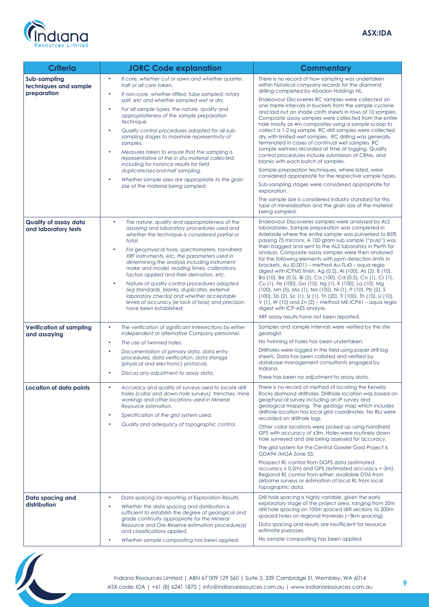

| <b>Criteria</b>                                      | <b>JORC Code explanation</b>                                                                                                                                                                                                                                                                                                                                                                                                                                                                                                                                                                                                                                                                                                                                        | <b>Commentary</b>                                                                                                                                                                                                                                                                                                                                                                                                                                                                                                                                                                                                                                                                                                                                                                                                                                                                                                                                                                                                                                                                                                  |
|------------------------------------------------------|---------------------------------------------------------------------------------------------------------------------------------------------------------------------------------------------------------------------------------------------------------------------------------------------------------------------------------------------------------------------------------------------------------------------------------------------------------------------------------------------------------------------------------------------------------------------------------------------------------------------------------------------------------------------------------------------------------------------------------------------------------------------|--------------------------------------------------------------------------------------------------------------------------------------------------------------------------------------------------------------------------------------------------------------------------------------------------------------------------------------------------------------------------------------------------------------------------------------------------------------------------------------------------------------------------------------------------------------------------------------------------------------------------------------------------------------------------------------------------------------------------------------------------------------------------------------------------------------------------------------------------------------------------------------------------------------------------------------------------------------------------------------------------------------------------------------------------------------------------------------------------------------------|
| Sub-sampling<br>techniques and sample<br>preparation | $\bullet$<br>If core, whether cut or sawn and whether quarter,<br>half or all core taken.<br>If non-core, whether riffled, tube sampled, rotary<br>$\bullet$<br>split, etc and whether sampled wet or dry.<br>For all sample types, the nature, quality and<br>$\bullet$<br>appropriateness of the sample preparation<br>technique.<br>Quality control procedures adopted for all sub-<br>$\bullet$<br>sampling stages to maximise representivity of<br>samples.<br>$\bullet$<br>Measures taken to ensure that the sampling is<br>representative of the in situ material collected,<br>including for instance results for field<br>duplicate/second-half sampling.<br>Whether sample sizes are appropriate to the grain<br>٠<br>size of the material being sampled. | There is no record of how sampling was undertaken<br>within historical company records for the diamond<br>drilling completed by Abadon Holdings NL.<br>Endeavour Discoveries RC samples were collected on<br>one metre intervals in buckets from the sample cyclone<br>and laid out on shade cloth sheets in rows of 10 samples.<br>Composite assay samples were collected from the entire<br>hole mostly as 4m composites using a sample scoop to<br>collect a 1-2 kg sample. RC drill samples were collected<br>dry with limited wet samples. RC drilling was generally<br>terminated in cases of continual wet samples. RC<br>sample wetness recorded at time of logging. Quality<br>control procedures include submission of CRMs, and<br>blanks with each batch of samples.<br>Sample preparation techniques, where listed, were<br>considered appropriate for the respective sample types.<br>Sub-sampling stages were considered appropriate for<br>exploration.<br>The sample size is considered industry standard for this<br>type of mineralisation and the grain size of the material<br>being sampled. |
| Quality of assay data<br>and laboratory tests        | $\bullet$<br>The nature, quality and appropriateness of the<br>assaying and laboratory procedures used and<br>whether the technique is considered partial or<br>total.<br>For geophysical tools, spectrometers, handheld<br>XRF instruments, etc, the parameters used in<br>determining the analysis including instrument<br>make and model, reading times, calibrations<br>factors applied and their derivation, etc.<br>Nature of quality control procedures adopted<br>$\bullet$<br>(eg standards, blanks, duplicates, external<br>laboratory checks) and whether acceptable<br>levels of accuracy (ie lack of bias) and precision<br>have been established.                                                                                                     | Endeavour Discoveries samples were analysed by ALS<br>laboratories. Sample preparation was completed in<br>Adelaide where the entire sample was pulverised to 85%<br>passing 75 microns. A 100 gram sub sample ("pulp") was<br>then bagged and sent to the ALS laboratory in Perth for<br>analysis. Composite assay samples were then analysed<br>for the following elements with ppm detection limits in<br>brackets. Au (0.001) - method Au-TL43 - agua regia<br>digest with ICPMS finish. Ag (0.2), AI (100), As (2), B (10),<br>Ba (10), Be (0.5), Bi (2), Ca (100), Cd (0.5), Co (1), Cr (1),<br>Cu (1), Fe (100), Ga (10), Hg (1), K (100), La (10), Mg<br>(100), Mn (5), Mo (1), Na (100), Ni (1), P (10), Pb (2), S<br>(100), Sb (2), Sc (1), Sr (1), Th (20), Ti (100), Th (10), U (10),<br>$V(1)$ , W (10) and Zn (2) – method ME-ICP41 – aqua regia<br>digest with ICP-AES analysis.<br>XRF assay results have not been reported.                                                                                                                                                                       |
| <b>Verification of sampling</b><br>and assaying      | The verification of significant intersections by either<br>$\bullet$<br>independent or alternative Company personnel.<br>The use of twinned holes.<br>$\bullet$<br>Documentation of primary data, data entry<br>$\bullet$<br>procedures, data verification, data storage<br>(physical and electronic) protocols.<br>Discuss any adjustment to assay data.                                                                                                                                                                                                                                                                                                                                                                                                           | Samples and sample intervals were verified by the site<br>geologist.<br>No twinning of holes has been undertaken.<br>Drillholes were logged in the field using paper drill log<br>sheets. Data has been collated and verified by<br>database management consultants engaged by<br>Indiana.<br>There has been no adjustment to assay data.                                                                                                                                                                                                                                                                                                                                                                                                                                                                                                                                                                                                                                                                                                                                                                          |
| Location of data points                              | Accuracy and quality of surveys used to locate drill<br>holes (collar and down-hole surveys), trenches, mine<br>workings and other locations used in Mineral<br>Resource estimation.<br>Specification of the grid system used.<br>$\bullet$<br>Quality and adequacy of topographic control.<br>$\bullet$                                                                                                                                                                                                                                                                                                                                                                                                                                                            | There is no record of method of locating the Kenella<br>Rocks diamond drillholes. Drillhole location was based on<br>geophysical survey including an IP survey and<br>geological mapping. The geology map which includes<br>drillhole location has local grid coordinates. No RLs were<br>recorded on drillhole logs.<br>Other collar locations were picked up using handheld<br>GPS with accuracy of ±3m. Holes were routinely down<br>hole surveyed and are being assessed for accuracy.<br>The grid system for the Central Gawler Gold Project is<br>GDA94 /MGA Zone 53.<br>Prospect RL control from DGPS data (estimated<br>$accuracy \pm 0.2m$ and GPS (estimated accuracy $+3m$ ).<br>Regional RL control from either: available DTM from<br>airborne surveys or estimation of local RL from local<br>topographic data.                                                                                                                                                                                                                                                                                      |
| Data spacing and<br>distribution                     | $\bullet$<br>Data spacing for reporting of Exploration Results.<br>$\bullet$<br>Whether the data spacing and distribution is<br>sufficient to establish the degree of geological and<br>grade continuity appropriate for the Mineral<br>Resource and Ore Reserve estimation procedure(s)<br>and classifications applied.<br>Whether sample compositing has been applied.                                                                                                                                                                                                                                                                                                                                                                                            | Drill hole spacing is highly variable, given the early<br>exploratory stage of the project area, ranging from 20m<br>drill hole spacing on 100m spaced drill sections to 200m<br>spaced holes on regional traverses (~3km spacing).<br>Data spacing and results are insufficient for resource<br>estimate purposes.<br>No sample compositing has been applied.                                                                                                                                                                                                                                                                                                                                                                                                                                                                                                                                                                                                                                                                                                                                                     |

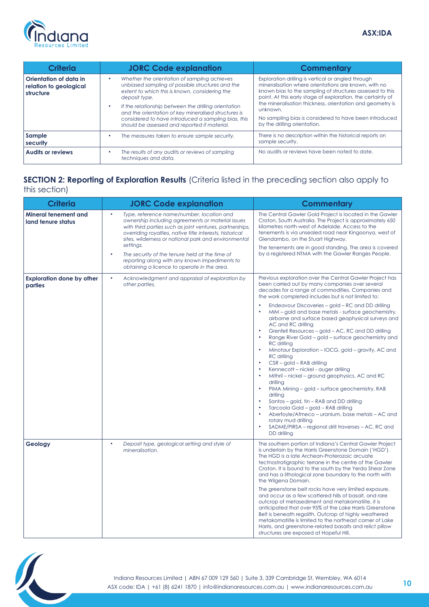

| <b>Criteria</b>                                               | <b>JORC Code explanation</b>                                                                                                                                                                                                                                                                                                                                                               | <b>Commentary</b>                                                                                                                                                                                                                                                                                                                                                                                         |
|---------------------------------------------------------------|--------------------------------------------------------------------------------------------------------------------------------------------------------------------------------------------------------------------------------------------------------------------------------------------------------------------------------------------------------------------------------------------|-----------------------------------------------------------------------------------------------------------------------------------------------------------------------------------------------------------------------------------------------------------------------------------------------------------------------------------------------------------------------------------------------------------|
| Orientation of data in<br>relation to geological<br>structure | Whether the orientation of sampling achieves<br>unbiased sampling of possible structures and the<br>extent to which this is known, considering the<br>deposit type.<br>If the relationship between the drilling orientation<br>and the orientation of key mineralised structures is<br>considered to have introduced a sampling bias, this<br>should be assessed and reported if material. | Exploration drilling is vertical or angled through<br>mineralisation where orientations are known, with no<br>known bias to the sampling of structures assessed to this<br>point. At this early stage of exploration, the certainty of<br>the mineralisation thickness, orientation and geometry is<br>unknown.<br>No sampling bias is considered to have been introduced<br>by the drilling orientation. |
| Sample<br>security                                            | The measures taken to ensure sample security.                                                                                                                                                                                                                                                                                                                                              | There is no description within the historical reports on<br>sample security.                                                                                                                                                                                                                                                                                                                              |
| <b>Audits or reviews</b>                                      | The results of any audits or reviews of sampling<br>techniques and data.                                                                                                                                                                                                                                                                                                                   | No audits or reviews have been noted to date.                                                                                                                                                                                                                                                                                                                                                             |

# **SECTION 2: Reporting of Exploration Results** (Criteria listed in the preceding section also apply to this section)

| <b>Criteria</b>                             | <b>JORC Code explanation</b>                                                                                                                                                                                                                                                                                  | <b>Commentary</b>                                                                                                                                                                                                                                                                                                                                                                                                                                                                                                                                                                                                                                                                                                                                                                                                                                                                                                                                                                                                                                                                                                       |  |  |
|---------------------------------------------|---------------------------------------------------------------------------------------------------------------------------------------------------------------------------------------------------------------------------------------------------------------------------------------------------------------|-------------------------------------------------------------------------------------------------------------------------------------------------------------------------------------------------------------------------------------------------------------------------------------------------------------------------------------------------------------------------------------------------------------------------------------------------------------------------------------------------------------------------------------------------------------------------------------------------------------------------------------------------------------------------------------------------------------------------------------------------------------------------------------------------------------------------------------------------------------------------------------------------------------------------------------------------------------------------------------------------------------------------------------------------------------------------------------------------------------------------|--|--|
| Mineral tenement and<br>land tenure status  | $\bullet$<br>Type, reference name/number, location and<br>ownership including agreements or material issues<br>with third parties such as joint ventures, partnerships,<br>overriding royalties, native title interests, historical<br>sites, wilderness or national park and environmental<br>settings.<br>۰ | The Central Gawler Gold Project is located in the Gawler<br>Craton, South Australia. The Project is approximately 650<br>kilometres north-west of Adelaide. Access to the<br>tenements is via unsealed road near Kingoonya, west of<br>Glendambo, on the Stuart Highway.<br>The tenements are in good standing. The area is covered<br>by a registered NTMA with the Gawler Ranges People.                                                                                                                                                                                                                                                                                                                                                                                                                                                                                                                                                                                                                                                                                                                              |  |  |
|                                             | The security of the tenure held at the time of<br>reporting along with any known impediments to<br>obtaining a licence to operate in the area.                                                                                                                                                                |                                                                                                                                                                                                                                                                                                                                                                                                                                                                                                                                                                                                                                                                                                                                                                                                                                                                                                                                                                                                                                                                                                                         |  |  |
| <b>Exploration done by other</b><br>parties | $\bullet$<br>Acknowledgment and appraisal of exploration by<br>other parties.                                                                                                                                                                                                                                 | Previous exploration over the Central Gawler Project has<br>been carried out by many companies over several<br>decades for a range of commodities. Companies and<br>the work completed includes but is not limited to:<br>Endeavour Discoveries - gold - RC and DD drilling<br>MIM – gold and base metals - surface geochemistry,<br>$\bullet$<br>airborne and surface based geophysical surveys and<br>AC and RC drilling<br>Grenfell Resources - gold - AC, RC and DD drilling<br>Range River Gold - gold - surface geochemistry and<br><b>RC</b> drilling<br>Minotaur Exploration – IOCG, gold – gravity, AC and<br><b>RC</b> drilling<br>$CSR - gold - RAB$ drilling<br>$\bullet$<br>Kennecott - nickel - auger drilling<br>Mithril – nickel – ground geophysics, AC and RC<br>$\bullet$<br>drilling<br>PIMA Mining - gold - surface geochemistry, RAB<br>drilling<br>Santos - gold, tin - RAB and DD drilling<br>$\bullet$<br>Tarcoola Gold - gold - RAB drilling<br>Aberfoyle/Afmeco - uranium, base metals - AC and<br>rotary mud drilling<br>SADME/PIRSA - regional drill traverses - AC, RC and<br>DD drillina |  |  |
| Geology                                     | $\bullet$<br>Deposit type, geological setting and style of<br>mineralisation.                                                                                                                                                                                                                                 | The southern portion of Indiana's Central Gawler Project<br>is underlain by the Harris Greenstone Domain ('HGD').<br>The HGD is a late Archean-Proterozoic arcuate<br>tectnostratigraphic terrane in the centre of the Gawler<br>Craton. It is bound to the south by the Yerda Shear Zone<br>and has a lithological zone boundary to the north with<br>the Wilgena Domain.<br>The greenstone belt rocks have very limited exposure,<br>and occur as a few scattered hills of basalt, and rare<br>outcrop of metasediment and metakomatiite, it is<br>anticipated that over 95% of the Lake Harris Greenstone<br>Belt is beneath regolith. Outcrop of highly weathered<br>metakomatiite is limited to the northeast corner of Lake<br>Harris, and greenstone-related basalts and relict pillow<br>structures are exposed at Hopeful Hill.                                                                                                                                                                                                                                                                                |  |  |